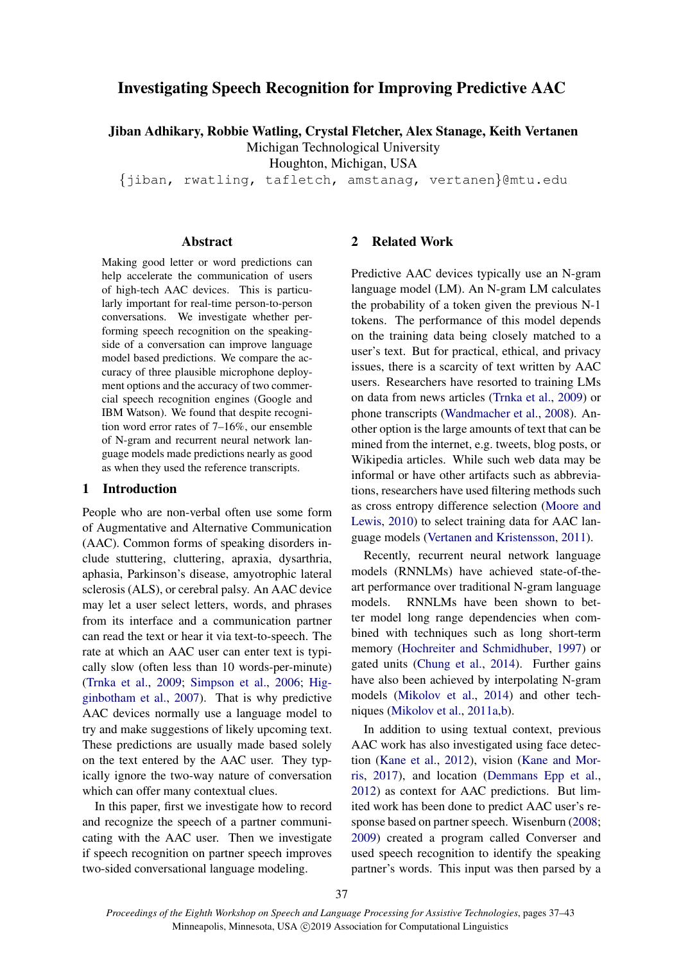# Investigating Speech Recognition for Improving Predictive AAC

Jiban Adhikary, Robbie Watling, Crystal Fletcher, Alex Stanage, Keith Vertanen

Michigan Technological University

Houghton, Michigan, USA

{jiban, rwatling, tafletch, amstanag, vertanen}@mtu.edu

#### Abstract

Making good letter or word predictions can help accelerate the communication of users of high-tech AAC devices. This is particularly important for real-time person-to-person conversations. We investigate whether performing speech recognition on the speakingside of a conversation can improve language model based predictions. We compare the accuracy of three plausible microphone deployment options and the accuracy of two commercial speech recognition engines (Google and IBM Watson). We found that despite recognition word error rates of 7–16%, our ensemble of N-gram and recurrent neural network language models made predictions nearly as good as when they used the reference transcripts.

## 1 Introduction

People who are non-verbal often use some form of Augmentative and Alternative Communication (AAC). Common forms of speaking disorders include stuttering, cluttering, apraxia, dysarthria, aphasia, Parkinson's disease, amyotrophic lateral sclerosis (ALS), or cerebral palsy. An AAC device may let a user select letters, words, and phrases from its interface and a communication partner can read the text or hear it via text-to-speech. The rate at which an AAC user can enter text is typically slow (often less than 10 words-per-minute) (Trnka et al., 2009; Simpson et al., 2006; Higginbotham et al., 2007). That is why predictive AAC devices normally use a language model to try and make suggestions of likely upcoming text. These predictions are usually made based solely on the text entered by the AAC user. They typically ignore the two-way nature of conversation which can offer many contextual clues.

In this paper, first we investigate how to record and recognize the speech of a partner communicating with the AAC user. Then we investigate if speech recognition on partner speech improves two-sided conversational language modeling.

## 2 Related Work

Predictive AAC devices typically use an N-gram language model (LM). An N-gram LM calculates the probability of a token given the previous N-1 tokens. The performance of this model depends on the training data being closely matched to a user's text. But for practical, ethical, and privacy issues, there is a scarcity of text written by AAC users. Researchers have resorted to training LMs on data from news articles (Trnka et al., 2009) or phone transcripts (Wandmacher et al., 2008). Another option is the large amounts of text that can be mined from the internet, e.g. tweets, blog posts, or Wikipedia articles. While such web data may be informal or have other artifacts such as abbreviations, researchers have used filtering methods such as cross entropy difference selection (Moore and Lewis, 2010) to select training data for AAC language models (Vertanen and Kristensson, 2011).

Recently, recurrent neural network language models (RNNLMs) have achieved state-of-theart performance over traditional N-gram language models. RNNLMs have been shown to better model long range dependencies when combined with techniques such as long short-term memory (Hochreiter and Schmidhuber, 1997) or gated units (Chung et al., 2014). Further gains have also been achieved by interpolating N-gram models (Mikolov et al., 2014) and other techniques (Mikolov et al., 2011a,b).

In addition to using textual context, previous AAC work has also investigated using face detection (Kane et al., 2012), vision (Kane and Morris, 2017), and location (Demmans Epp et al., 2012) as context for AAC predictions. But limited work has been done to predict AAC user's response based on partner speech. Wisenburn (2008; 2009) created a program called Converser and used speech recognition to identify the speaking partner's words. This input was then parsed by a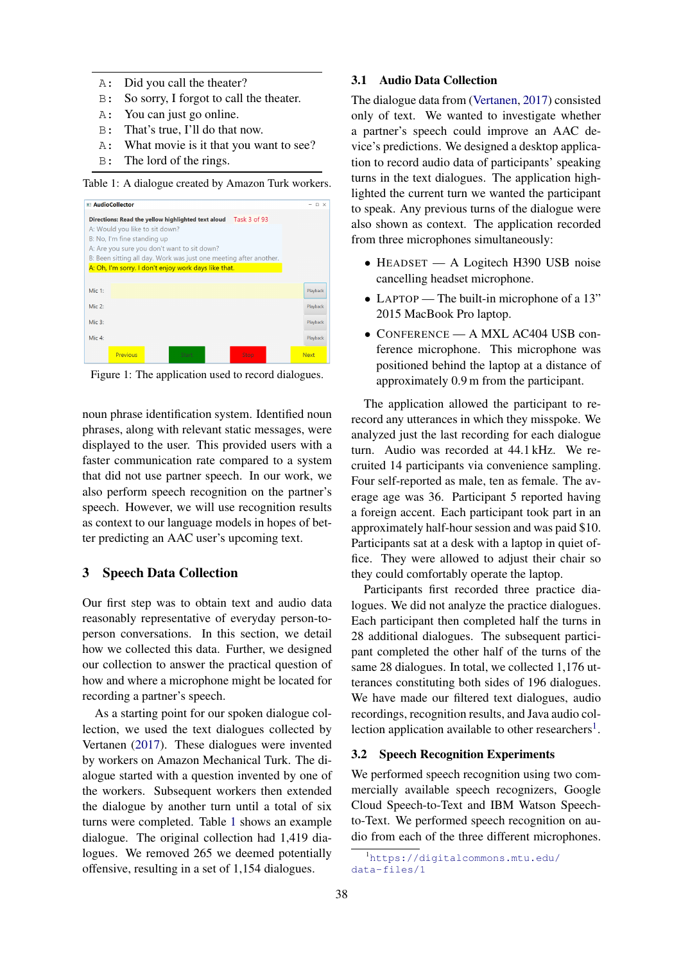- A: Did you call the theater?
- B: So sorry, I forgot to call the theater.
- A: You can just go online.
- B: That's true, I'll do that now.
- A: What movie is it that you want to see?
- B: The lord of the rings.

Table 1: A dialogue created by Amazon Turk workers.

|           | AudioCollector                                       |       |                                                                   | <b>DX</b> |
|-----------|------------------------------------------------------|-------|-------------------------------------------------------------------|-----------|
|           |                                                      |       | Directions: Read the yellow highlighted text aloud Task 3 of 93   |           |
|           | A: Would you like to sit down?                       |       |                                                                   |           |
|           | B: No. I'm fine standing up                          |       |                                                                   |           |
|           | A: Are you sure you don't want to sit down?          |       |                                                                   |           |
|           |                                                      |       | B: Been sitting all day. Work was just one meeting after another. |           |
|           | A: Oh, I'm sorry. I don't enjoy work days like that. |       |                                                                   |           |
|           |                                                      |       |                                                                   |           |
| Mic 1:    |                                                      |       |                                                                   | Playback  |
| Mic 2:    |                                                      |       |                                                                   | Playback  |
| $Mic.3$ : |                                                      |       |                                                                   | Playback  |
| Mic 4:    |                                                      |       |                                                                   | Playback  |
|           | Previous                                             | Starl | <b>Stop</b>                                                       | Next      |

Figure 1: The application used to record dialogues.

noun phrase identification system. Identified noun phrases, along with relevant static messages, were displayed to the user. This provided users with a faster communication rate compared to a system that did not use partner speech. In our work, we also perform speech recognition on the partner's speech. However, we will use recognition results as context to our language models in hopes of better predicting an AAC user's upcoming text.

#### 3 Speech Data Collection

Our first step was to obtain text and audio data reasonably representative of everyday person-toperson conversations. In this section, we detail how we collected this data. Further, we designed our collection to answer the practical question of how and where a microphone might be located for recording a partner's speech.

As a starting point for our spoken dialogue collection, we used the text dialogues collected by Vertanen (2017). These dialogues were invented by workers on Amazon Mechanical Turk. The dialogue started with a question invented by one of the workers. Subsequent workers then extended the dialogue by another turn until a total of six turns were completed. Table 1 shows an example dialogue. The original collection had 1,419 dialogues. We removed 265 we deemed potentially offensive, resulting in a set of 1,154 dialogues.

# 3.1 Audio Data Collection

The dialogue data from (Vertanen, 2017) consisted only of text. We wanted to investigate whether a partner's speech could improve an AAC device's predictions. We designed a desktop application to record audio data of participants' speaking turns in the text dialogues. The application highlighted the current turn we wanted the participant to speak. Any previous turns of the dialogue were also shown as context. The application recorded from three microphones simultaneously:

- HEADSET A Logitech H390 USB noise cancelling headset microphone.
- LAPTOP The built-in microphone of a 13" 2015 MacBook Pro laptop.
- CONFERENCE A MXL AC404 USB conference microphone. This microphone was positioned behind the laptop at a distance of approximately 0.9 m from the participant.

The application allowed the participant to rerecord any utterances in which they misspoke. We analyzed just the last recording for each dialogue turn. Audio was recorded at 44.1 kHz. We recruited 14 participants via convenience sampling. Four self-reported as male, ten as female. The average age was 36. Participant 5 reported having a foreign accent. Each participant took part in an approximately half-hour session and was paid \$10. Participants sat at a desk with a laptop in quiet office. They were allowed to adjust their chair so they could comfortably operate the laptop.

Participants first recorded three practice dialogues. We did not analyze the practice dialogues. Each participant then completed half the turns in 28 additional dialogues. The subsequent participant completed the other half of the turns of the same 28 dialogues. In total, we collected 1,176 utterances constituting both sides of 196 dialogues. We have made our filtered text dialogues, audio recordings, recognition results, and Java audio collection application available to other researchers<sup>1</sup>.

### 3.2 Speech Recognition Experiments

We performed speech recognition using two commercially available speech recognizers, Google Cloud Speech-to-Text and IBM Watson Speechto-Text. We performed speech recognition on audio from each of the three different microphones.

<sup>1</sup>https://digitalcommons.mtu.edu/ data-files/1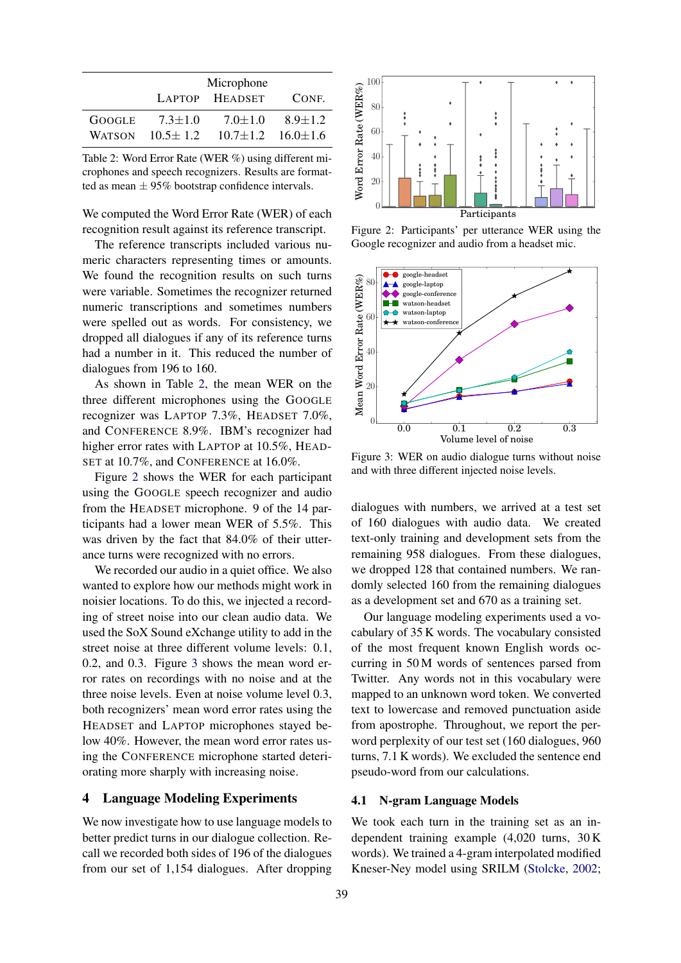|               |                | Microphone     |                |
|---------------|----------------|----------------|----------------|
|               |                | LAPTOP HEADSET | CONE.          |
| <b>GOOGLE</b> | $7.3 \pm 1.0$  | $7.0 \pm 1.0$  | $8.9 \pm 1.2$  |
| <b>WATSON</b> | $10.5 \pm 1.2$ | $10.7 \pm 1.2$ | $16.0 \pm 1.6$ |

Table 2: Word Error Rate (WER %) using different microphones and speech recognizers. Results are formatted as mean  $\pm$  95% bootstrap confidence intervals.

We computed the Word Error Rate (WER) of each recognition result against its reference transcript.

The reference transcripts included various numeric characters representing times or amounts. We found the recognition results on such turns were variable. Sometimes the recognizer returned numeric transcriptions and sometimes numbers were spelled out as words. For consistency, we dropped all dialogues if any of its reference turns had a number in it. This reduced the number of dialogues from 196 to 160.

As shown in Table 2, the mean WER on the three different microphones using the GOOGLE recognizer was LAPTOP 7.3%, HEADSET 7.0%, and CONFERENCE 8.9%. IBM's recognizer had higher error rates with LAPTOP at 10.5%, HEAD-SET at 10.7%, and CONFERENCE at 16.0%.

Figure 2 shows the WER for each participant using the GOOGLE speech recognizer and audio from the HEADSET microphone. 9 of the 14 participants had a lower mean WER of 5.5%. This was driven by the fact that 84.0% of their utterance turns were recognized with no errors.

We recorded our audio in a quiet office. We also wanted to explore how our methods might work in noisier locations. To do this, we injected a recording of street noise into our clean audio data. We used the SoX Sound eXchange utility to add in the street noise at three different volume levels: 0.1, 0.2, and 0.3. Figure 3 shows the mean word error rates on recordings with no noise and at the three noise levels. Even at noise volume level 0.3, both recognizers' mean word error rates using the HEADSET and LAPTOP microphones stayed below 40%. However, the mean word error rates using the CONFERENCE microphone started deteriorating more sharply with increasing noise.

# 4 Language Modeling Experiments

We now investigate how to use language models to better predict turns in our dialogue collection. Recall we recorded both sides of 196 of the dialogues from our set of 1,154 dialogues. After dropping



Figure 2: Participants' per utterance WER using the Google recognizer and audio from a headset mic.



Figure 3: WER on audio dialogue turns without noise and with three different injected noise levels.

dialogues with numbers, we arrived at a test set of 160 dialogues with audio data. We created text-only training and development sets from the remaining 958 dialogues. From these dialogues, we dropped 128 that contained numbers. We randomly selected 160 from the remaining dialogues as a development set and 670 as a training set.

Our language modeling experiments used a vocabulary of 35 K words. The vocabulary consisted of the most frequent known English words occurring in 50 M words of sentences parsed from Twitter. Any words not in this vocabulary were mapped to an unknown word token. We converted text to lowercase and removed punctuation aside from apostrophe. Throughout, we report the perword perplexity of our test set (160 dialogues, 960 turns, 7.1 K words). We excluded the sentence end pseudo-word from our calculations.

# 4.1 N-gram Language Models

We took each turn in the training set as an independent training example (4,020 turns, 30 K words). We trained a 4-gram interpolated modified Kneser-Ney model using SRILM (Stolcke, 2002;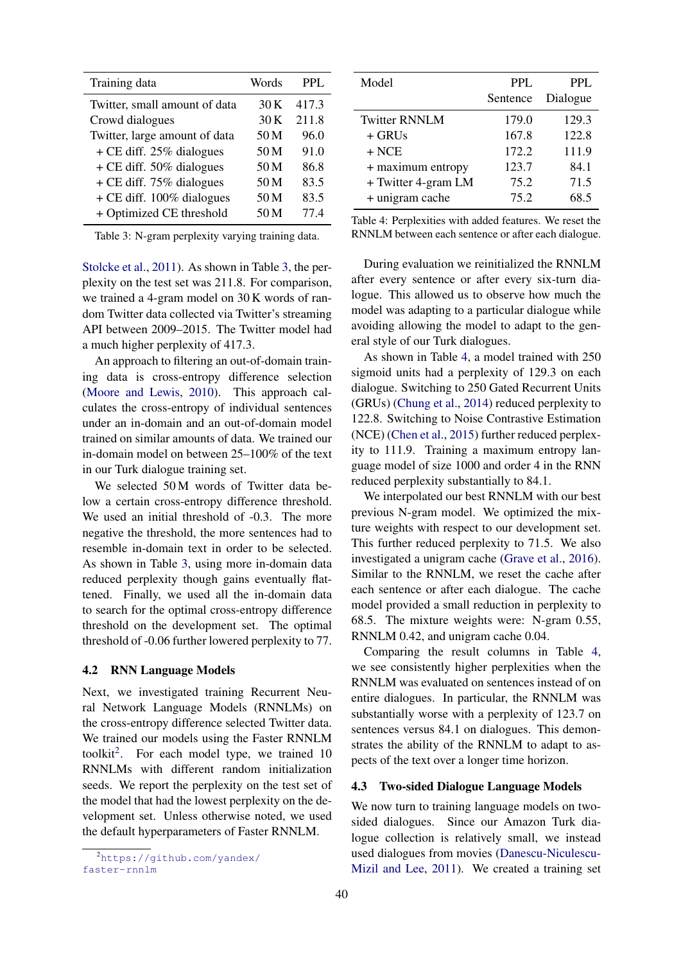| Training data                 | Words | PPL.  |
|-------------------------------|-------|-------|
| Twitter, small amount of data | 30 K  | 417.3 |
| Crowd dialogues               | 30K   | 211.8 |
| Twitter, large amount of data | 50 M  | 96.0  |
| $+$ CE diff. 25% dialogues    | 50 M  | 91.0  |
| + CE diff. 50% dialogues      | 50 M  | 86.8  |
| $+$ CE diff. 75% dialogues    | 50 M  | 83.5  |
| $+$ CE diff. 100% dialogues   | 50 M  | 83.5  |
| + Optimized CE threshold      | 50 M  | 77.4  |

Table 3: N-gram perplexity varying training data.

Stolcke et al., 2011). As shown in Table 3, the perplexity on the test set was 211.8. For comparison, we trained a 4-gram model on 30 K words of random Twitter data collected via Twitter's streaming API between 2009–2015. The Twitter model had a much higher perplexity of 417.3.

An approach to filtering an out-of-domain training data is cross-entropy difference selection (Moore and Lewis, 2010). This approach calculates the cross-entropy of individual sentences under an in-domain and an out-of-domain model trained on similar amounts of data. We trained our in-domain model on between 25–100% of the text in our Turk dialogue training set.

We selected 50 M words of Twitter data below a certain cross-entropy difference threshold. We used an initial threshold of -0.3. The more negative the threshold, the more sentences had to resemble in-domain text in order to be selected. As shown in Table 3, using more in-domain data reduced perplexity though gains eventually flattened. Finally, we used all the in-domain data to search for the optimal cross-entropy difference threshold on the development set. The optimal threshold of -0.06 further lowered perplexity to 77.

#### 4.2 RNN Language Models

Next, we investigated training Recurrent Neural Network Language Models (RNNLMs) on the cross-entropy difference selected Twitter data. We trained our models using the Faster RNNLM toolkit<sup>2</sup>. For each model type, we trained  $10$ RNNLMs with different random initialization seeds. We report the perplexity on the test set of the model that had the lowest perplexity on the development set. Unless otherwise noted, we used the default hyperparameters of Faster RNNLM.

| Model                | <b>PPL</b> | <b>PPL</b> |
|----------------------|------------|------------|
|                      | Sentence   | Dialogue   |
| <b>Twitter RNNLM</b> | 179.0      | 129.3      |
| $+$ GRUs             | 167.8      | 122.8      |
| $+$ NCE              | 172.2      | 111.9      |
| + maximum entropy    | 123.7      | 84.1       |
| + Twitter 4-gram LM  | 75.2       | 71.5       |
| + unigram cache      | 75.2       | 68.5       |

| Table 4: Perplexities with added features. We reset the |  |  |  |  |
|---------------------------------------------------------|--|--|--|--|
| RNNLM between each sentence or after each dialogue.     |  |  |  |  |

During evaluation we reinitialized the RNNLM after every sentence or after every six-turn dialogue. This allowed us to observe how much the model was adapting to a particular dialogue while avoiding allowing the model to adapt to the general style of our Turk dialogues.

As shown in Table 4, a model trained with 250 sigmoid units had a perplexity of 129.3 on each dialogue. Switching to 250 Gated Recurrent Units (GRUs) (Chung et al., 2014) reduced perplexity to 122.8. Switching to Noise Contrastive Estimation (NCE) (Chen et al., 2015) further reduced perplexity to 111.9. Training a maximum entropy language model of size 1000 and order 4 in the RNN reduced perplexity substantially to 84.1.

We interpolated our best RNNLM with our best previous N-gram model. We optimized the mixture weights with respect to our development set. This further reduced perplexity to 71.5. We also investigated a unigram cache (Grave et al., 2016). Similar to the RNNLM, we reset the cache after each sentence or after each dialogue. The cache model provided a small reduction in perplexity to 68.5. The mixture weights were: N-gram 0.55, RNNLM 0.42, and unigram cache 0.04.

Comparing the result columns in Table 4, we see consistently higher perplexities when the RNNLM was evaluated on sentences instead of on entire dialogues. In particular, the RNNLM was substantially worse with a perplexity of 123.7 on sentences versus 84.1 on dialogues. This demonstrates the ability of the RNNLM to adapt to aspects of the text over a longer time horizon.

# 4.3 Two-sided Dialogue Language Models

We now turn to training language models on twosided dialogues. Since our Amazon Turk dialogue collection is relatively small, we instead used dialogues from movies (Danescu-Niculescu-Mizil and Lee, 2011). We created a training set

<sup>2</sup>https://github.com/yandex/ faster-rnnlm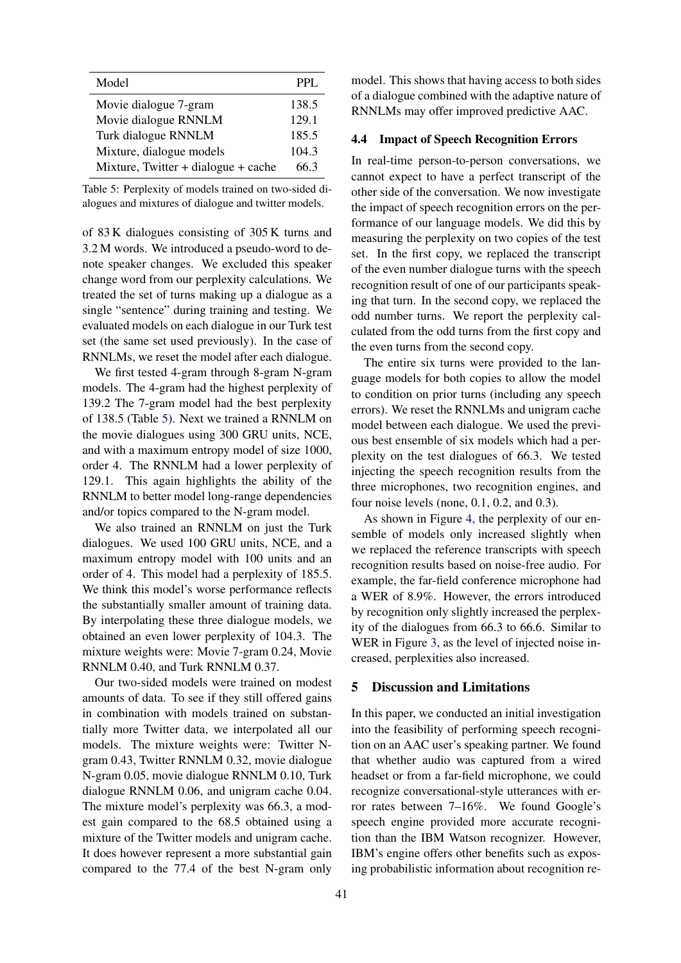| Model                               | PPL.  |
|-------------------------------------|-------|
| Movie dialogue 7-gram               | 138.5 |
| Movie dialogue RNNLM                | 129.1 |
| Turk dialogue RNNLM                 | 185.5 |
| Mixture, dialogue models            | 104.3 |
| Mixture, Twitter + dialogue + cache | 663   |

Table 5: Perplexity of models trained on two-sided dialogues and mixtures of dialogue and twitter models.

of 83 K dialogues consisting of 305 K turns and 3.2 M words. We introduced a pseudo-word to denote speaker changes. We excluded this speaker change word from our perplexity calculations. We treated the set of turns making up a dialogue as a single "sentence" during training and testing. We evaluated models on each dialogue in our Turk test set (the same set used previously). In the case of RNNLMs, we reset the model after each dialogue.

We first tested 4-gram through 8-gram N-gram models. The 4-gram had the highest perplexity of 139.2 The 7-gram model had the best perplexity of 138.5 (Table 5). Next we trained a RNNLM on the movie dialogues using 300 GRU units, NCE, and with a maximum entropy model of size 1000, order 4. The RNNLM had a lower perplexity of 129.1. This again highlights the ability of the RNNLM to better model long-range dependencies and/or topics compared to the N-gram model.

We also trained an RNNLM on just the Turk dialogues. We used 100 GRU units, NCE, and a maximum entropy model with 100 units and an order of 4. This model had a perplexity of 185.5. We think this model's worse performance reflects the substantially smaller amount of training data. By interpolating these three dialogue models, we obtained an even lower perplexity of 104.3. The mixture weights were: Movie 7-gram 0.24, Movie RNNLM 0.40, and Turk RNNLM 0.37.

Our two-sided models were trained on modest amounts of data. To see if they still offered gains in combination with models trained on substantially more Twitter data, we interpolated all our models. The mixture weights were: Twitter Ngram 0.43, Twitter RNNLM 0.32, movie dialogue N-gram 0.05, movie dialogue RNNLM 0.10, Turk dialogue RNNLM 0.06, and unigram cache 0.04. The mixture model's perplexity was 66.3, a modest gain compared to the 68.5 obtained using a mixture of the Twitter models and unigram cache. It does however represent a more substantial gain compared to the 77.4 of the best N-gram only

model. This shows that having access to both sides of a dialogue combined with the adaptive nature of RNNLMs may offer improved predictive AAC.

#### 4.4 Impact of Speech Recognition Errors

In real-time person-to-person conversations, we cannot expect to have a perfect transcript of the other side of the conversation. We now investigate the impact of speech recognition errors on the performance of our language models. We did this by measuring the perplexity on two copies of the test set. In the first copy, we replaced the transcript of the even number dialogue turns with the speech recognition result of one of our participants speaking that turn. In the second copy, we replaced the odd number turns. We report the perplexity calculated from the odd turns from the first copy and the even turns from the second copy.

The entire six turns were provided to the language models for both copies to allow the model to condition on prior turns (including any speech errors). We reset the RNNLMs and unigram cache model between each dialogue. We used the previous best ensemble of six models which had a perplexity on the test dialogues of 66.3. We tested injecting the speech recognition results from the three microphones, two recognition engines, and four noise levels (none, 0.1, 0.2, and 0.3).

As shown in Figure 4, the perplexity of our ensemble of models only increased slightly when we replaced the reference transcripts with speech recognition results based on noise-free audio. For example, the far-field conference microphone had a WER of 8.9%. However, the errors introduced by recognition only slightly increased the perplexity of the dialogues from 66.3 to 66.6. Similar to WER in Figure 3, as the level of injected noise increased, perplexities also increased.

# 5 Discussion and Limitations

In this paper, we conducted an initial investigation into the feasibility of performing speech recognition on an AAC user's speaking partner. We found that whether audio was captured from a wired headset or from a far-field microphone, we could recognize conversational-style utterances with error rates between 7–16%. We found Google's speech engine provided more accurate recognition than the IBM Watson recognizer. However, IBM's engine offers other benefits such as exposing probabilistic information about recognition re-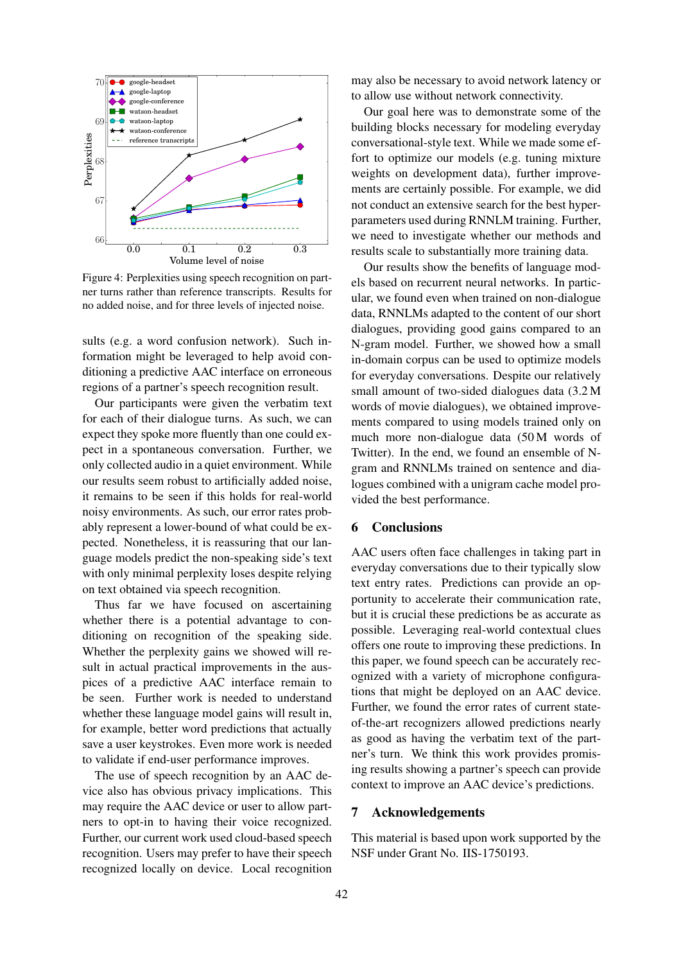

Figure 4: Perplexities using speech recognition on partner turns rather than reference transcripts. Results for no added noise, and for three levels of injected noise.

sults (e.g. a word confusion network). Such information might be leveraged to help avoid conditioning a predictive AAC interface on erroneous regions of a partner's speech recognition result.

Our participants were given the verbatim text for each of their dialogue turns. As such, we can expect they spoke more fluently than one could expect in a spontaneous conversation. Further, we only collected audio in a quiet environment. While our results seem robust to artificially added noise, it remains to be seen if this holds for real-world noisy environments. As such, our error rates probably represent a lower-bound of what could be expected. Nonetheless, it is reassuring that our language models predict the non-speaking side's text with only minimal perplexity loses despite relying on text obtained via speech recognition.

Thus far we have focused on ascertaining whether there is a potential advantage to conditioning on recognition of the speaking side. Whether the perplexity gains we showed will result in actual practical improvements in the auspices of a predictive AAC interface remain to be seen. Further work is needed to understand whether these language model gains will result in, for example, better word predictions that actually save a user keystrokes. Even more work is needed to validate if end-user performance improves.

The use of speech recognition by an AAC device also has obvious privacy implications. This may require the AAC device or user to allow partners to opt-in to having their voice recognized. Further, our current work used cloud-based speech recognition. Users may prefer to have their speech recognized locally on device. Local recognition

may also be necessary to avoid network latency or to allow use without network connectivity.

Our goal here was to demonstrate some of the building blocks necessary for modeling everyday conversational-style text. While we made some effort to optimize our models (e.g. tuning mixture weights on development data), further improvements are certainly possible. For example, we did not conduct an extensive search for the best hyperparameters used during RNNLM training. Further, we need to investigate whether our methods and results scale to substantially more training data.

Our results show the benefits of language models based on recurrent neural networks. In particular, we found even when trained on non-dialogue data, RNNLMs adapted to the content of our short dialogues, providing good gains compared to an N-gram model. Further, we showed how a small in-domain corpus can be used to optimize models for everyday conversations. Despite our relatively small amount of two-sided dialogues data (3.2 M words of movie dialogues), we obtained improvements compared to using models trained only on much more non-dialogue data (50 M words of Twitter). In the end, we found an ensemble of Ngram and RNNLMs trained on sentence and dialogues combined with a unigram cache model provided the best performance.

# 6 Conclusions

AAC users often face challenges in taking part in everyday conversations due to their typically slow text entry rates. Predictions can provide an opportunity to accelerate their communication rate, but it is crucial these predictions be as accurate as possible. Leveraging real-world contextual clues offers one route to improving these predictions. In this paper, we found speech can be accurately recognized with a variety of microphone configurations that might be deployed on an AAC device. Further, we found the error rates of current stateof-the-art recognizers allowed predictions nearly as good as having the verbatim text of the partner's turn. We think this work provides promising results showing a partner's speech can provide context to improve an AAC device's predictions.

### 7 Acknowledgements

This material is based upon work supported by the NSF under Grant No. IIS-1750193.